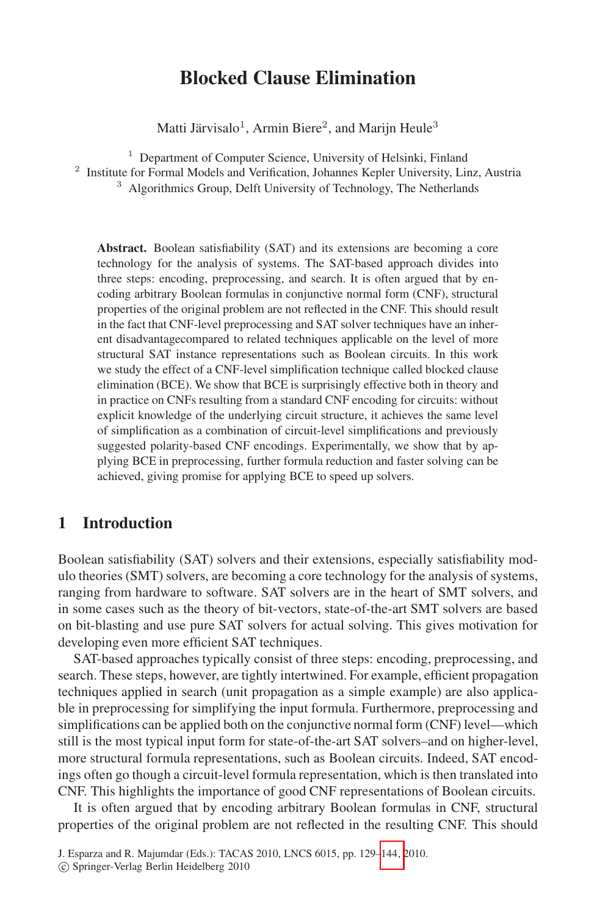# **Blocked Clause Elimination**

Matti Järvisalo<sup>1</sup>, Armin Biere<sup>2</sup>, and Marijn Heule<sup>3</sup>

<sup>1</sup> Department of Computer Science, University of Helsinki, Finland

<sup>2</sup> Institute for Formal Models and Verification, Johannes Kepler University, Linz, Austria

<sup>3</sup> Algorithmics Group, Delft University of Technology, The Netherlands

**Abstract.** Boolean satisfiability (SAT) and its extensions are becoming a core technology for the analysis of systems. The SAT-based approach divides into three steps: encoding, preprocessing, and search. It is often argued that by encoding arbitrary Boolean formulas in conjunctive normal form (CNF), structural properties of the original problem are not reflected in the CNF. This should result in the fact that CNF-level preprocessing and SAT solver techniques have an inherent disadvantagecompared to related techniques applicable on the level of more structural SAT instance representations such as Boolean circuits. In this work we study the effect of a CNF-level simplification technique called blocked clause elimination (BCE). We show that BCE is surprisingly effective both in theory and in practice on CNFs resulting from a standard CNF encoding for circuits: without explicit knowledge of the underlying circuit structure, it achieves the same level of simplification as a combination of circuit-level simplifications and previously suggested polarity-based CNF encodings. Experimentally, we show that by applying BCE in preprocessing, further formula reduction and faster solving can be achieved, giving promise for applying BCE to speed up solvers.

### **1 Introduction**

Boolean satisfiability (SAT) solvers and their extensions, especially satisfiability modulo theories (SMT) solvers, are becoming a core technology for the analysis of systems, ranging from hardware to software. SAT solvers are in the heart of SMT solvers, and in some cases such as the theory of bit-vectors, state-of-the-art SMT solvers are based on bit-blasting and use pure SAT solvers for actual solving. This gives motivation for developing even more efficient SAT techniques.

SAT-based approaches typically consist of three steps: encoding, preprocessing, and search. These steps, however, are tightly intertwined. For example, efficient propagation techniques applied in search (unit propagation as a simple example) are also applicable in preprocessing for simplifying the input formula. Furthermore, preprocessing and simplifications can be applied both on the conjunctive normal form (CNF) level—which still is the most typical input form for state-of-the-art SAT solvers–and on higher-level, more structural formula representations, such as Boolean circuits. Indeed, SAT encodings often go though a circuit-level formula representation, which is then translated into CNF. This highlights the importance of good CNF representations of Boolean circuits.

It is often argued that by encoding arbitrary Boolean formulas in CNF, structural properties of the original problem are not reflected in the resulting CNF. This should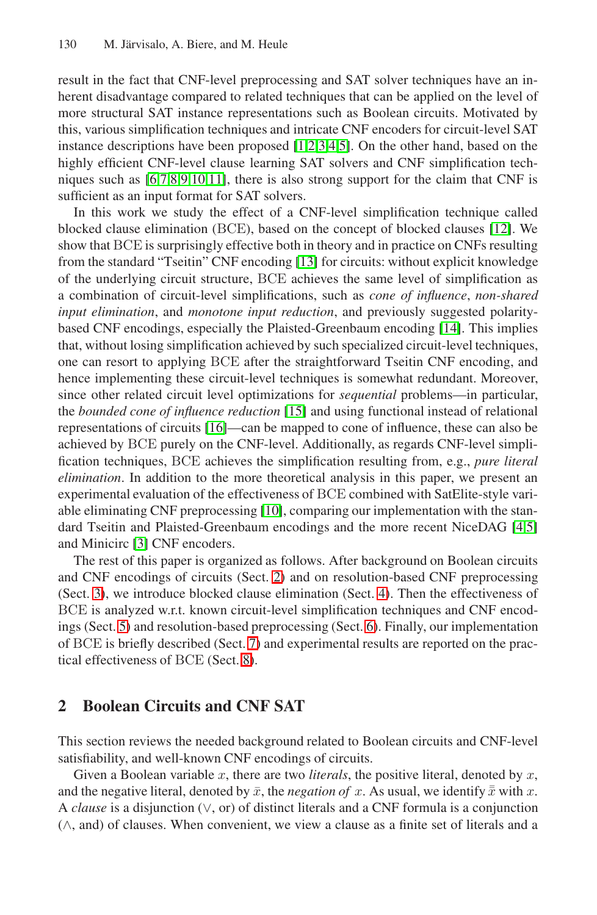result in the fact that CNF-level preprocessing and SAT solver techniques have an inherent disadvantage compared to related techniques that can be applied on the level of more structural SAT instance representations such as Boolean circuits. Motivated by this, various simplification techniques and intricate CNF encoders for circuit-level SAT instance descriptions have been proposed [\[1,](#page-14-0)[2,](#page-14-1)[3,](#page-14-2)[4,](#page-14-3)[5\]](#page-14-4). On the other hand, based on the highly efficient CNF-level clause learning SAT solvers and CNF simplification techniques such as [\[6](#page-14-5)[,7](#page-14-6)[,8](#page-14-7)[,9](#page-14-8)[,10](#page-14-9)[,11\]](#page-14-10), there is also strong support for the claim that CNF is sufficient as an input format for SAT solvers.

In this work we study the effect of a CNF-level simplification technique called blocked clause elimination (BCE), based on the concept of blocked clauses [\[12\]](#page-14-11). We show that BCE is surprisingly effective both in theory and in practice on CNFs resulting from the standard "Tseitin" CNF encoding [\[13\]](#page-14-12) for circuits: without explicit knowledge of the underlying circuit structure, BCE achieves the same level of simplification as a combination of circuit-level simplifications, such as *cone of influence*, *non-shared input elimination*, and *monotone input reduction*, and previously suggested polaritybased CNF encodings, especially the Plaisted-Greenbaum encoding [\[14\]](#page-14-13). This implies that, without losing simplification achieved by such specialized circuit-level techniques, one can resort to applying BCE after the straightforward Tseitin CNF encoding, and hence implementing these circuit-level techniques is somewhat redundant. Moreover, since other related circuit level optimizations for *sequential* problems—in particular, the *bounded cone of influence reduction* [\[15\]](#page-14-14) and using functional instead of relational representations of circuits [\[16\]](#page-14-15)—can be mapped to cone of influence, these can also be achieved by BCE purely on the CNF-level. Additionally, as regards CNF-level simplification techniques, BCE achieves the simplification resulting from, e.g., *pure literal elimination*. In addition to the more theoretical analysis in this paper, we present an experimental evaluation of the effectiveness of BCE combined with SatElite-style variable eliminating CNF preprocessing [\[10\]](#page-14-9), comparing our implementation with the standard Tseitin and Plaisted-Greenbaum encodings and the more recent NiceDAG [\[4](#page-14-3)[,5\]](#page-14-4) and Minicirc [\[3\]](#page-14-2) CNF encoders.

The rest of this paper is organized as follows. After background on Boolean circuits and CNF encodings of circuits (Sect. [2\)](#page-1-0) and on resolution-based CNF preprocessing (Sect. [3\)](#page-3-0), we introduce blocked clause elimination (Sect. [4\)](#page-4-0). Then the effectiveness of BCE is analyzed w.r.t. known circuit-level simplification techniques and CNF encodings (Sect. [5\)](#page-5-0) and resolution-based preprocessing (Sect. [6\)](#page-9-0). Finally, our implementation of BCE is briefly described (Sect. [7\)](#page-10-0) and experimental results are reported on the practical effectiveness of BCE (Sect. [8\)](#page-11-0).

#### <span id="page-1-0"></span>**2 Boolean Circuits and CNF SAT**

This section reviews the needed background related to Boolean circuits and CNF-level satisfiability, and well-known CNF encodings of circuits.

Given a Boolean variable  $x$ , there are two *literals*, the positive literal, denoted by  $x$ , and the negative literal, denoted by  $\bar{x}$ , the *negation of* x. As usual, we identify  $\bar{x}$  with x. A *clause* is a disjunction (∨, or) of distinct literals and a CNF formula is a conjunction (∧, and) of clauses. When convenient, we view a clause as a finite set of literals and a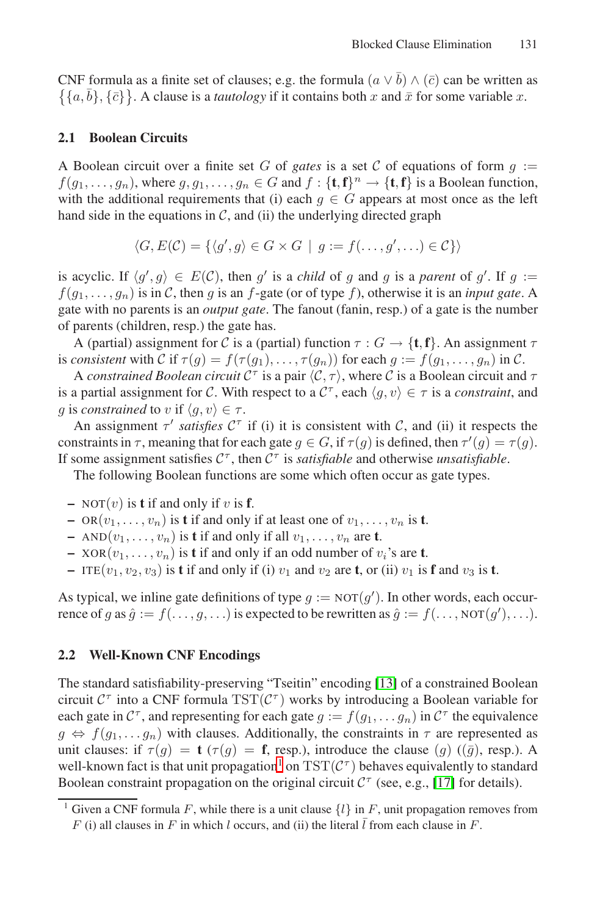CNF formula as a finite set of clauses; e.g. the formula  $(a \vee \overline{b}) \wedge (\overline{c})$  can be written as  $\{\{a,\overline{b}\},\{\overline{c}\}\}\.$  A clause is a *tautology* if it contains both x and  $\overline{x}$  for some variable x.

#### **2.1 Boolean Circuits**

A Boolean circuit over a finite set G of *gates* is a set C of equations of form  $g :=$  $f(g_1,...,g_n)$ , where  $g, g_1,...,g_n \in G$  and  $f: \{\mathbf{t}, \mathbf{f}\}^n \to \{\mathbf{t}, \mathbf{f}\}\$ is a Boolean function, with the additional requirements that (i) each  $g \in G$  appears at most once as the left hand side in the equations in  $C$ , and (ii) the underlying directed graph

$$
\langle G, E(C) = \{ \langle g', g \rangle \in G \times G \mid g := f(\dots, g', \dots) \in C \} \rangle
$$

is acyclic. If  $\langle g', g \rangle \in E(C)$ , then g' is a *child* of g and g is a *parent* of g'. If  $g := f(g, g)$  is in C then g is an *f*-gate (or of type f) otherwise it is an *input ode* A  $f(g_1,...,g_n)$  is in C, then g is an f-gate (or of type f), otherwise it is an *input gate*. A gate with no parents is an *output gate*. The fanout (fanin, resp.) of a gate is the number of parents (children, resp.) the gate has.

A (partial) assignment for C is a (partial) function  $\tau : G \to \{\mathbf{t}, \mathbf{f}\}\)$ . An assignment  $\tau$ is *consistent* with C if  $\tau(g) = f(\tau(g_1), \ldots, \tau(g_n))$  for each  $g := f(g_1, \ldots, g_n)$  in C.

A *constrained Boolean circuit*  $C^{\tau}$  is a pair  $\langle C, \tau \rangle$ , where C is a Boolean circuit and  $\tau$ is a partial assignment for C. With respect to a  $C^{\tau}$ , each  $\langle g, v \rangle \in \tau$  is a *constraint*, and q is *constrained* to v if  $\langle q, v \rangle \in \tau$ .

An assignment  $\tau'$  *satisfies*  $C^{\tau}$  if (i) it is consistent with C, and (ii) it respects the astroints in  $\tau$  meaning that for each gate  $a \in C$  if  $\tau(a)$  is defined then  $\tau'(a) - \tau(a)$ constraints in  $\tau$ , meaning that for each gate  $g \in G$ , if  $\tau(g)$  is defined, then  $\tau'(g) = \tau(g)$ .<br>If some assignment satisfies  $C^{\tau}$  then  $C^{\tau}$  is *satisfiable* and otherwise *unsatisfiable*. If some assignment satisfies  $C^{\tau}$ , then  $C^{\tau}$  is *satisfiable* and otherwise *unsatisfiable*.

The following Boolean functions are some which often occur as gate types.

- $\blacksquare$  NOT(*v*) is **t** if and only if *v* is **f**.
- **–**  $OR(v_1, \ldots, v_n)$  is **t** if and only if at least one of  $v_1, \ldots, v_n$  is **t**.
- **–** AND $(v_1, \ldots, v_n)$  is **t** if and only if all  $v_1, \ldots, v_n$  are **t**.
- **–** XOR $(v_1, \ldots, v_n)$  is **t** if and only if an odd number of  $v_i$ 's are **t**.
- $-$  ITE( $v_1, v_2, v_3$ ) is **t** if and only if (i)  $v_1$  and  $v_2$  are **t**, or (ii)  $v_1$  is **f** and  $v_3$  is **t**.

As typical, we inline gate definitions of type  $g := \text{NOT}(g')$ . In other words, each occurrence of  $g$  as  $\hat{g} := f(g)$  is expected to be rewritten as  $\hat{g} := f(g) \text{NOT}(g')$ rence of g as  $\hat{g} := f(\dots, g, \dots)$  is expected to be rewritten as  $\hat{g} := f(\dots, \text{NOT}(g'), \dots)$ .

#### **2.2 Well-Known CNF Encodings**

The standard satisfiability-preserving "Tseitin" encoding [\[13\]](#page-14-12) of a constrained Boolean circuit  $C^{\tau}$  into a CNF formula  $TST(C^{\tau})$  works by introducing a Boolean variable for each gate in  $\mathcal{C}^{\tau}$ , and representing for each gate  $g := f(q_1, \ldots, q_n)$  in  $\mathcal{C}^{\tau}$  the equivalence  $g \Leftrightarrow f(g_1, \ldots g_n)$  with clauses. Additionally, the constraints in  $\tau$  are represented as unit clauses: if  $\tau(g) = \mathbf{t} (\tau(g) = \mathbf{f}, \text{resp.})$ , introduce the clause  $(g)$  ( $(\bar{g})$ , resp.). A well-known fact is that unit propagation<sup>[1](#page-2-0)</sup> on  $TST(\mathcal{C}^{\tau})$  behaves equivalently to standard Boolean constraint propagation on the original circuit  $C^{\tau}$  (see, e.g., [\[17\]](#page-14-16) for details).

<span id="page-2-0"></span><sup>&</sup>lt;sup>1</sup> Given a CNF formula *F*, while there is a unit clause  $\{l\}$  in *F*, unit propagation removes from *F* (i) all clauses in *F* in which *l* occurs, and (ii) the literal  $\overline{l}$  from each clause in *F*.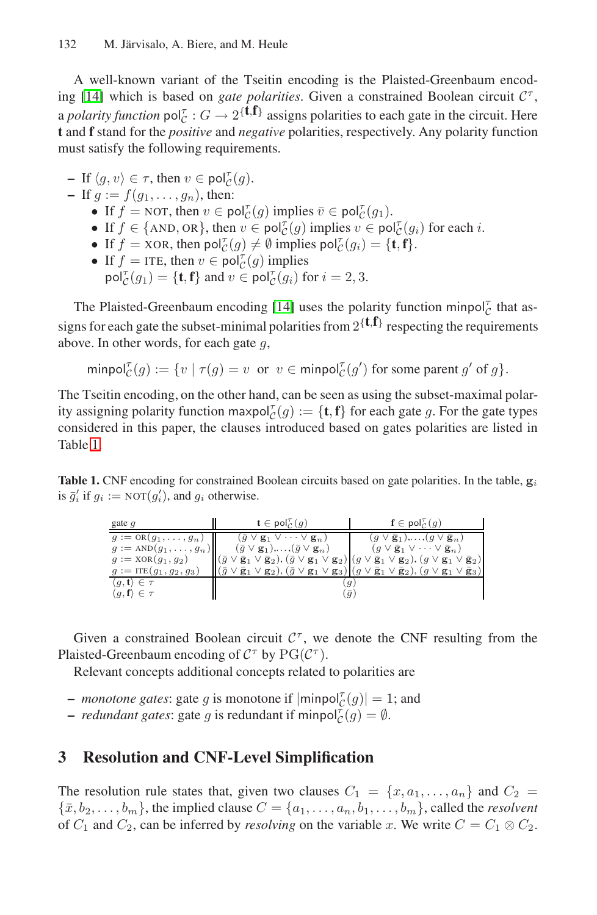A well-known variant of the Tseitin encoding is the Plaisted-Greenbaum encod-ing [\[14\]](#page-14-13) which is based on *gate polarities*. Given a constrained Boolean circuit  $C^{\tau}$ , a *polarity function*  $\text{poI}_{\mathcal{C}}^{\tau}: G \to 2^{\{\textbf{t}, \textbf{f}\}}$  assigns polarities to each gate in the circuit. Here <br>**t** and **f** stand for the *nositive* and *negative* polarities, respectively. Any polarity function **t** and **f** stand for the *positive* and *negative* polarities, respectively. Any polarity function must satisfy the following requirements.

- **–** If  $\langle g, v \rangle \in \tau$ , then  $v \in \text{pol}_{\mathcal{C}}^{\tau}(g)$ .<br> **–** If  $g := f(g, g)$  then:
- **–** If  $g := f(g_1, \ldots, g_n)$ , then:
	- If  $f = \text{NOT}$ , then  $v \in \text{pol}_C^{\tau}(g)$  implies  $\overline{v} \in \text{pol}_C^{\tau}(g_1)$ .<br>• If  $f \in \text{AND}$  or then  $v \in \text{pol}_A^{\tau}(g)$  implies  $v \in \text{DO}$
	- If  $f \in \{\text{AND}, \text{OR}\}$ , then  $v \in \text{pol}_C^{\tau}(g)$  implies  $v \in \text{pol}_C^{\tau}(g_i)$  for each i.<br>• If  $f = x \text{OR}$  then  $\text{pol}_A^{\tau}(g) \neq \emptyset$  implies  $\text{pol}_A^{\tau}(g_i) = f$  f  $\mathbf{f}$ .
	- If  $f = XOR$ , then  $\text{pol}_C^{\tau}(g) \neq \emptyset$  implies  $\text{pol}_C^{\tau}(g_i) = {\textbf{t}, \textbf{f}}$ .
	- If  $f = \text{ITE}$ , then  $v \in \text{pol}_{\mathcal{C}}^{\tau}(g)$  implies<br>  $\text{pol}_{\mathcal{L}}^{\tau}(g_{\alpha}) = f$  of  $\text{flag}$  and  $v \in \text{pol}_{\mathcal{L}}^{\tau}(g_{\alpha})$  for  $\text{poly}_\mathcal{C}(g_1) = \{ \mathbf{t}, \mathbf{f} \}$  and  $v \in \text{poly}_\mathcal{C}(g_i)$  for  $i = 2, 3$ .

The Plaisted-Greenbaum encoding [\[14\]](#page-14-13) uses the polarity function minpol<sub> $\zeta$ </sub> that assigns for each gate the subset-minimal polarities from  $2^{\{t, f\}}$  respecting the requirements above. In other words, for each gate  $q$ ,

minpol $_C^{\tau}(g) := \{ v \mid \tau(g) = v \text{ or } v \in \text{minpol}_C^{\tau}(g') \text{ for some parent } g' \text{ of } g \}.$ 

The Tseitin encoding, on the other hand, can be seen as using the subset-maximal polarity assigning polarity function maxpol $_C^{\tau}(g) := {\mathbf{t}, \mathbf{f}}$  for each gate g. For the gate types considered in this paper, the clauses introduced based on gates polarities are listed in considered in this paper, the clauses introduced based on gates polarities are listed in Table [1.](#page-3-1)

**Table 1.** CNF encoding for constrained Boolean circuits based on gate polarities. In the table,  $g_i$ is  $\bar{g}'_i$  if  $g_i := \text{NOT}(g'_i)$ , and  $g_i$  otherwise.

<span id="page-3-1"></span>

| gate $g$                                                                                                                                     | $\mathbf{t} \in \text{pol}_{\mathcal{C}}(q)$                                                                                                                                                                                                                                                                                                                                                                                                                       | $f \in \text{pol}_{\mathcal{C}}^{\tau}(q)$                                                          |
|----------------------------------------------------------------------------------------------------------------------------------------------|--------------------------------------------------------------------------------------------------------------------------------------------------------------------------------------------------------------------------------------------------------------------------------------------------------------------------------------------------------------------------------------------------------------------------------------------------------------------|-----------------------------------------------------------------------------------------------------|
| $g := \text{OR}(g_1, \ldots, g_n)$<br>$g := \text{AND}(g_1, \ldots, g_n)$<br>$g := \text{XOR}(g_1, g_2)$<br>$g := \text{ITE}(g_1, g_2, g_3)$ | $(\bar{g} \vee \mathbf{g}_1 \vee \cdots \vee \mathbf{g}_n)$<br>$(\bar{g} \vee \mathbf{g}_1), \ldots, (\bar{g} \vee \mathbf{g}_n)$<br>$(\bar{g}\vee \bar{g}_1\vee \bar{g}_2), (\bar{g}\vee g_1\vee g_2)\vee (g\vee \bar{g}_1\vee g_2), (g\vee g_1\vee \bar{g}_2)$<br>$(\bar{g}\vee \bar{\mathbf{g}}_1\vee \mathbf{g}_2), (\bar{g}\vee \mathbf{g}_1\vee \mathbf{g}_3)(g\vee \bar{\mathbf{g}}_1\vee \bar{\mathbf{g}}_2), (g\vee \mathbf{g}_1\vee \bar{\mathbf{g}}_3)$ | $(g \vee \bar{g}_1), \ldots, (g \vee \bar{g}_n)$<br>$(g \vee \bar{g}_1 \vee \cdots \vee \bar{g}_n)$ |
| $\langle q, t \rangle \in \tau$<br>$\langle q, \mathbf{f} \rangle \in \tau$                                                                  | $\boldsymbol{q}$                                                                                                                                                                                                                                                                                                                                                                                                                                                   | $\left(\bar{q}\right)$                                                                              |

Given a constrained Boolean circuit  $C^{\tau}$ , we denote the CNF resulting from the Plaisted-Greenbaum encoding of  $C^{\tau}$  by  $PG(C^{\tau})$ .

Relevant concepts additional concepts related to polarities are

- **–** *monotone gates*: gate g is monotone if  $|\text{minpol}_C^{\tau}(g)| = 1$ ; and <br> **–** *redundant gates*: gate g is redundant if  $\text{minpol}^{\tau}(g) = \emptyset$
- **–** *redundant gates*: gate *g* is redundant if minpol $_C^{\tau}(g) = \emptyset$ .

### <span id="page-3-0"></span>**3 Resolution and CNF-Level Simplification**

The resolution rule states that, given two clauses  $C_1 = \{x, a_1, \ldots, a_n\}$  and  $C_2 =$  ${\bar{x}, b_2, \ldots, b_m}$ , the implied clause  $C = {a_1, \ldots, a_n, b_1, \ldots, b_m}$ , called the *resolvent* of  $C_1$  and  $C_2$ , can be inferred by *resolving* on the variable x. We write  $C = C_1 \otimes C_2$ .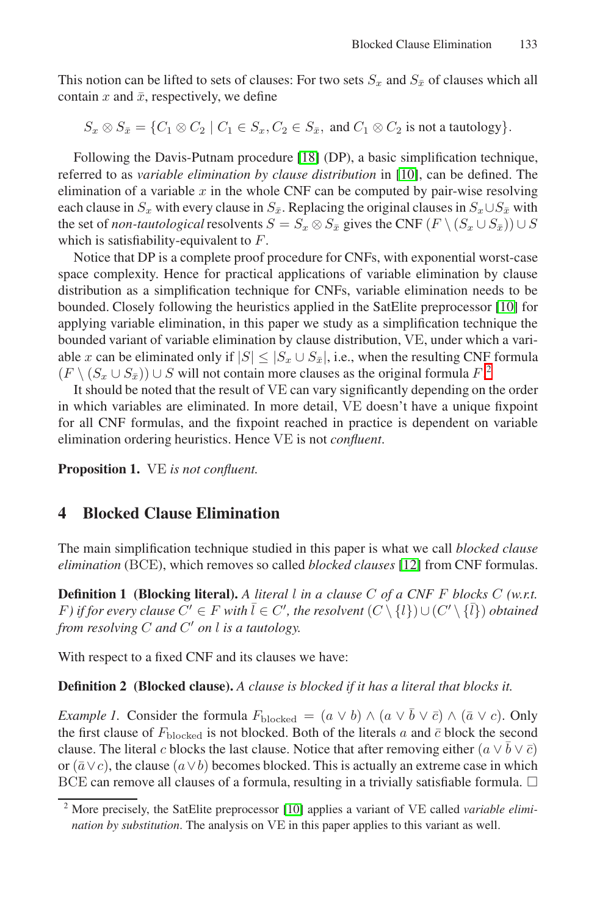This notion can be lifted to sets of clauses: For two sets  $S_x$  and  $S_{\bar{x}}$  of clauses which all contain x and  $\bar{x}$ , respectively, we define

$$
S_x \otimes S_{\bar{x}} = \{C_1 \otimes C_2 \mid C_1 \in S_x, C_2 \in S_{\bar{x}}, \text{ and } C_1 \otimes C_2 \text{ is not a tautology}\}.
$$

Following the Davis-Putnam procedure [\[18\]](#page-14-17) (DP), a basic simplification technique, referred to as *variable elimination by clause distribution* in [\[10\]](#page-14-9), can be defined. The elimination of a variable  $x$  in the whole CNF can be computed by pair-wise resolving each clause in  $S_x$  with every clause in  $S_{\bar{x}}$ . Replacing the original clauses in  $S_x \cup S_{\bar{x}}$  with the set of *non-tautological* resolvents  $S = S_x \otimes S_{\bar{x}}$  gives the CNF  $(F \setminus (S_x \cup S_{\bar{x}})) \cup S$ which is satisfiability-equivalent to F.

Notice that DP is a complete proof procedure for CNFs, with exponential worst-case space complexity. Hence for practical applications of variable elimination by clause distribution as a simplification technique for CNFs, variable elimination needs to be bounded. Closely following the heuristics applied in the SatElite preprocessor [\[10\]](#page-14-9) for applying variable elimination, in this paper we study as a simplification technique the bounded variant of variable elimination by clause distribution, VE, under which a variable x can be eliminated only if  $|S| \leq |S_x \cup S_{\overline{x}}|$ , i.e., when the resulting CNF formula  $(F \setminus (S_x \cup S_{\overline{x}})) \cup S$  will not contain more clauses as the original formula  $F^2$  $F^2$ .<br>It should be noted that the result of VE can vary significantly depending on t

It should be noted that the result of VE can vary significantly depending on the order in which variables are eliminated. In more detail, VE doesn't have a unique fixpoint for all CNF formulas, and the fixpoint reached in practice is dependent on variable elimination ordering heuristics. Hence VE is not *confluent*.

**Proposition 1.** VE *is not confluent.*

#### <span id="page-4-0"></span>**4 Blocked Clause Elimination**

The main simplification technique studied in this paper is what we call *blocked clause elimination* (BCE), which removes so called *blocked clauses* [\[12\]](#page-14-11) from CNF formulas.

**Definition 1 (Blocking literal).** *A literal* l *in a clause* C *of a CNF* F *blocks* C *(w.r.t. F*) *if for every clause*  $C' \in F$  *with*  $\overline{l} \in C'$ , *the resolvent*  $(C \setminus \{l\}) \cup (C' \setminus \{\overline{l}\})$  *obtained* from resolving  $C$  *and*  $C'$  on l is a tautology *from resolving* C *and* C- *on* l *is a tautology.*

With respect to a fixed CNF and its clauses we have:

#### **Definition 2 (Blocked clause).** *A clause is blocked if it has a literal that blocks it.*

*Example 1.* Consider the formula  $F_{\text{blocked}} = (a \lor b) \land (a \lor \overline{b} \lor \overline{c}) \land (\overline{a} \lor c)$ . Only the first clause of  $F_{\text{blocked}}$  is not blocked. Both of the literals a and  $\bar{c}$  block the second clause. The literal c blocks the last clause. Notice that after removing either  $(a \vee \overline{b} \vee \overline{c})$ or ( $\bar{a} \vee c$ ), the clause ( $a \vee b$ ) becomes blocked. This is actually an extreme case in which BCE can remove all clauses of a formula, resulting in a trivially satisfiable formula.  $\Box$ 

<span id="page-4-1"></span><sup>2</sup> More precisely, the SatElite preprocessor [\[10\]](#page-14-9) applies a variant of VE called *variable elimination by substitution*. The analysis on VE in this paper applies to this variant as well.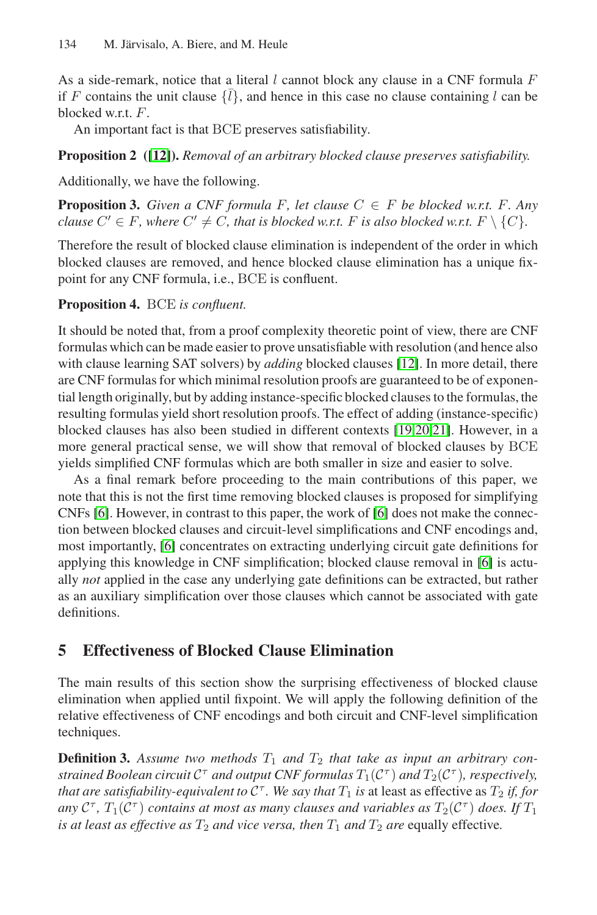As a side-remark, notice that a literal  $l$  cannot block any clause in a CNF formula  $F$ if F contains the unit clause  $\{l\}$ , and hence in this case no clause containing l can be blocked w.r.t. F.

<span id="page-5-2"></span>An important fact is that BCE preserves satisfiability.

**Proposition 2 ([\[12\]](#page-14-11)).** *Removal of an arbitrary blocked clause preserves satisfiability.*

Additionally, we have the following.

**Proposition 3.** *Given a CNF formula F, let clause*  $C \in F$  *be blocked w.r.t.* F. *Any clause*  $C' \in F$ *, where*  $C' \neq C$ *, that is blocked w.r.t.*  $F$  *is also blocked w.r.t.*  $F \setminus \{C\}$ *.* 

Therefore the result of blocked clause elimination is independent of the order in which blocked clauses are removed, and hence blocked clause elimination has a unique fixpoint for any CNF formula, i.e., BCE is confluent.

**Proposition 4.** BCE *is confluent.*

It should be noted that, from a proof complexity theoretic point of view, there are CNF formulas which can be made easier to prove unsatisfiable with resolution (and hence also with clause learning SAT solvers) by *adding* blocked clauses [\[12\]](#page-14-11). In more detail, there are CNF formulas for which minimal resolution proofs are guaranteed to be of exponential length originally, but by adding instance-specific blocked clauses to the formulas, the resulting formulas yield short resolution proofs. The effect of adding (instance-specific) blocked clauses has also been studied in different contexts [\[19](#page-14-18)[,20](#page-15-1)[,21\]](#page-15-2). However, in a more general practical sense, we will show that removal of blocked clauses by BCE yields simplified CNF formulas which are both smaller in size and easier to solve.

As a final remark before proceeding to the main contributions of this paper, we note that this is not the first time removing blocked clauses is proposed for simplifying CNFs [\[6\]](#page-14-5). However, in contrast to this paper, the work of [\[6\]](#page-14-5) does not make the connection between blocked clauses and circuit-level simplifications and CNF encodings and, most importantly, [\[6\]](#page-14-5) concentrates on extracting underlying circuit gate definitions for applying this knowledge in CNF simplification; blocked clause removal in [\[6\]](#page-14-5) is actually *not* applied in the case any underlying gate definitions can be extracted, but rather as an auxiliary simplification over those clauses which cannot be associated with gate definitions.

# <span id="page-5-0"></span>**5 Effectiveness of Blocked Clause Elimination**

The main results of this section show the surprising effectiveness of blocked clause elimination when applied until fixpoint. We will apply the following definition of the relative effectiveness of CNF encodings and both circuit and CNF-level simplification techniques.

<span id="page-5-1"></span>**Definition 3.** Assume two methods  $T_1$  and  $T_2$  that take as input an arbitrary con*strained Boolean circuit*  $C^{\tau}$  *and output CNF formulas*  $T_1(C^{\tau})$  *and*  $T_2(C^{\tau})$ *, respectively, that are satisfiability-equivalent to*  $C^{\tau}$ *. We say that*  $T_1$  *is* at least as effective as  $T_2$  *if, for any*  $\mathcal{C}^{\tau}$ ,  $T_1(\mathcal{C}^{\tau})$  *contains at most as many clauses and variables as*  $T_2(\mathcal{C}^{\tau})$  *does. If*  $T_1$ *is at least as effective as*  $T_2$  *and vice versa, then*  $T_1$  *and*  $T_2$  *are* equally effective.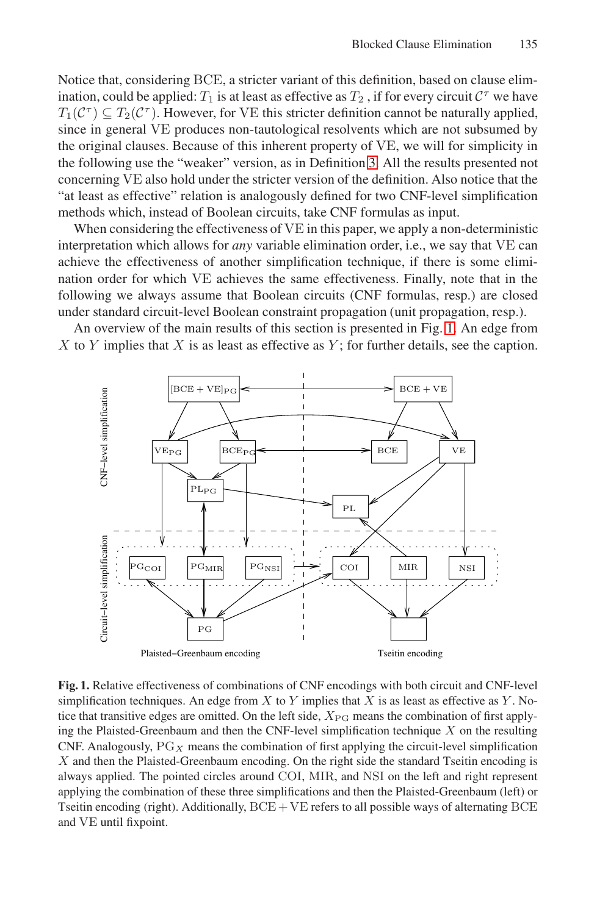Notice that, considering BCE, a stricter variant of this definition, based on clause elimination, could be applied:  $T_1$  is at least as effective as  $T_2$ , if for every circuit  $C^{\tau}$  we have  $T_1(\mathcal{C}^{\tau}) \subseteq T_2(\mathcal{C}^{\tau})$ . However, for VE this stricter definition cannot be naturally applied, since in general VE produces non-tautological resolvents which are not subsumed by the original clauses. Because of this inherent property of VE, we will for simplicity in the following use the "weaker" version, as in Definition [3.](#page-5-1) All the results presented not concerning VE also hold under the stricter version of the definition. Also notice that the "at least as effective" relation is analogously defined for two CNF-level simplification methods which, instead of Boolean circuits, take CNF formulas as input.

When considering the effectiveness of VE in this paper, we apply a non-deterministic interpretation which allows for *any* variable elimination order, i.e., we say that VE can achieve the effectiveness of another simplification technique, if there is some elimination order for which VE achieves the same effectiveness. Finally, note that in the following we always assume that Boolean circuits (CNF formulas, resp.) are closed under standard circuit-level Boolean constraint propagation (unit propagation, resp.).

An overview of the main results of this section is presented in Fig. [1.](#page-6-0) An edge from  $X$  to  $Y$  implies that  $X$  is as least as effective as  $Y$ ; for further details, see the caption.



<span id="page-6-0"></span>**Fig. 1.** Relative effectiveness of combinations of CNF encodings with both circuit and CNF-level simplification techniques. An edge from *X* to *Y* implies that *X* is as least as effective as *Y* . Notice that transitive edges are omitted. On the left side,  $X_{\text{PG}}$  means the combination of first applying the Plaisted-Greenbaum and then the CNF-level simplification technique *X* on the resulting CNF. Analogously,  $PG_X$  means the combination of first applying the circuit-level simplification *X* and then the Plaisted-Greenbaum encoding. On the right side the standard Tseitin encoding is always applied. The pointed circles around COI, MIR, and NSI on the left and right represent applying the combination of these three simplifications and then the Plaisted-Greenbaum (left) or Tseitin encoding (right). Additionally,  $BCE + VE$  refers to all possible ways of alternating  $BCE$ and VE until fixpoint.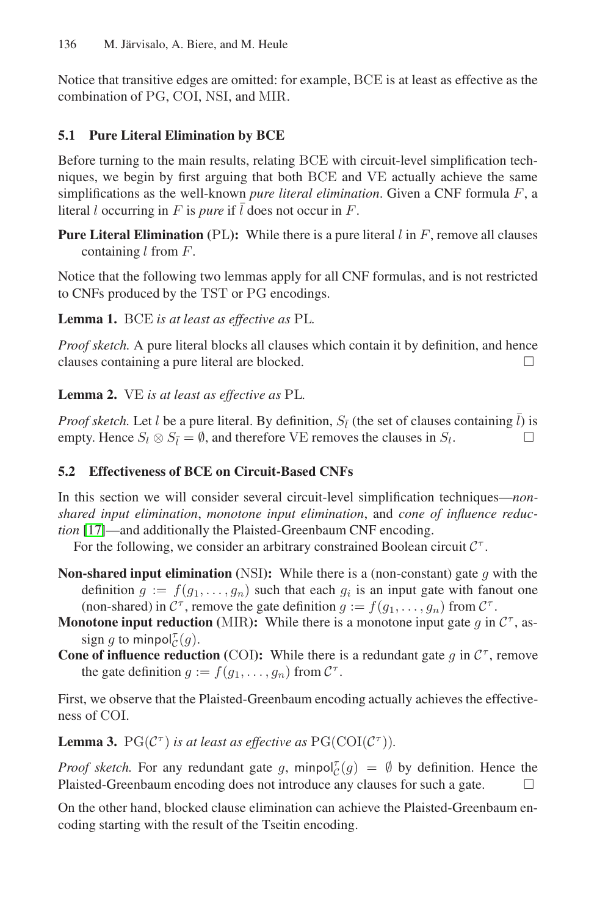Notice that transitive edges are omitted: for example, BCE is at least as effective as the combination of PG, COI, NSI, and MIR.

### **5.1 Pure Literal Elimination by BCE**

Before turning to the main results, relating BCE with circuit-level simplification techniques, we begin by first arguing that both BCE and VE actually achieve the same simplifications as the well-known *pure literal elimination*. Given a CNF formula F, a literal l occurring in F is *pure* if l does not occur in F.

**Pure Literal Elimination** (PL): While there is a pure literal  $l$  in  $F$ , remove all clauses containing  $l$  from  $F$ .

<span id="page-7-2"></span>Notice that the following two lemmas apply for all CNF formulas, and is not restricted to CNFs produced by the TST or PG encodings.

**Lemma 1.** BCE *is at least as effective as* PL*.*

*Proof sketch.* A pure literal blocks all clauses which contain it by definition, and hence clauses containing a pure literal are blocked.  $\Box$ 

<span id="page-7-3"></span>**Lemma 2.** VE *is at least as effective as* PL*.*

*Proof sketch.* Let l be a pure literal. By definition,  $S_{\bar{l}}$  (the set of clauses containing l) is empty. Hence  $S_l \otimes S_{\bar{l}} = \emptyset$ , and therefore VE removes the clauses in  $S_l$ . empty. Hence  $S_l \otimes S_{\bar{l}} = \emptyset$ , and therefore VE removes the clauses in  $S_l$ .

### **5.2 Effectiveness of BCE on Circuit-Based CNFs**

In this section we will consider several circuit-level simplification techniques—*nonshared input elimination*, *monotone input elimination*, and *cone of influence reduction* [\[17\]](#page-14-16)—and additionally the Plaisted-Greenbaum CNF encoding.

For the following, we consider an arbitrary constrained Boolean circuit  $C^{\tau}$ .

- **Non-shared input elimination** (NSI): While there is a (non-constant) gate g with the definition  $g := f(g_1, \ldots, g_n)$  such that each  $g_i$  is an input gate with fanout one (non-shared) in  $C^{\tau}$ , remove the gate definition  $g := f(g_1, \ldots, g_n)$  from  $C^{\tau}$ .
- **Monotone input reduction** (MIR): While there is a monotone input gate g in  $C^{\tau}$ , assign g to minpol $_{\mathcal{C}}^{\tau}(g)$ .<br> **e** of influence reduct
- **Cone of influence reduction (COI):** While there is a redundant gate g in  $\mathcal{C}^{\tau}$ , remove the gate definition  $g := f(q_1, \ldots, q_n)$  from  $\mathcal{C}^{\tau}$ .

<span id="page-7-0"></span>First, we observe that the Plaisted-Greenbaum encoding actually achieves the effectiveness of COI.

**Lemma 3.** PG( $C^{\tau}$ ) *is at least as effective as* PG( $COI(C^{\tau})$ )*.* 

*Proof sketch.* For any redundant gate g, minpol $_C^{\tau}(g) = \emptyset$  by definition. Hence the plaisted-Greenbaum encoding does not introduce any clauses for such a gate Plaisted-Greenbaum encoding does not introduce any clauses for such a gate. - $\Box$ 

<span id="page-7-1"></span>On the other hand, blocked clause elimination can achieve the Plaisted-Greenbaum encoding starting with the result of the Tseitin encoding.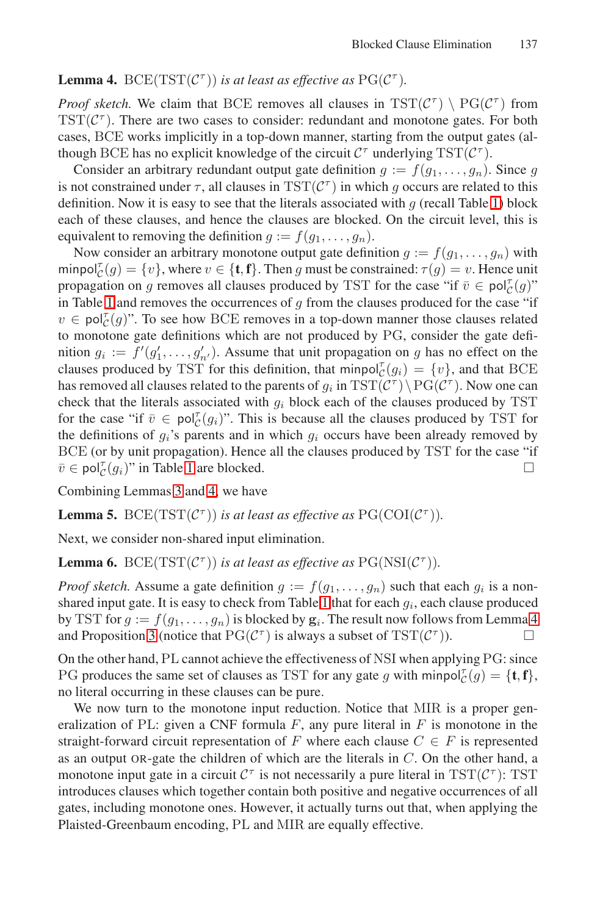#### **Lemma 4.** BCE(TST( $C^{\tau}$ )) *is at least as effective as* PG( $C^{\tau}$ ).

*Proof sketch.* We claim that BCE removes all clauses in  $TST(\mathcal{C}^{\tau}) \setminus PG(\mathcal{C}^{\tau})$  from  $TST(\mathcal{C}^{\tau})$ . There are two cases to consider: redundant and monotone gates. For both cases, BCE works implicitly in a top-down manner, starting from the output gates (although BCE has no explicit knowledge of the circuit  $C^{\tau}$  underlying TST( $C^{\tau}$ ).

Consider an arbitrary redundant output gate definition  $g := f(g_1, \ldots, g_n)$ . Since g is not constrained under  $\tau$ , all clauses in TST( $C^{\tau}$ ) in which g occurs are related to this definition. Now it is easy to see that the literals associated with  $q$  (recall Table [1\)](#page-3-1) block each of these clauses, and hence the clauses are blocked. On the circuit level, this is equivalent to removing the definition  $g := f(g_1, \ldots, g_n)$ .

Now consider an arbitrary monotone output gate definition  $g := f(g_1, \ldots, g_n)$  with minpol<sub> $\overline{C}(g) = \{v\}$ , where  $v \in \{\mathbf{t}, \mathbf{f}\}$ . Then g must be constrained:  $\tau(g) = v$ . Hence unit</sub> propagation on g removes all clauses produced by TST for the case "if  $\bar{v} \in \text{pol}_{\mathcal{C}}^{\tau}(g)$ "<br>in Table 1 and removes the occurrences of g from the clauses produced for the case "if in Table [1](#page-3-1) and removes the occurrences of g from the clauses produced for the case "if"  $v \in \text{pol}_{\mathcal{C}}^{\tau}(g)$ ". To see how BCE removes in a top-down manner those clauses related<br>to monotone gate definitions which are not produced by PC, consider the gate defito monotone gate definitions which are not produced by PG, consider the gate definition  $g_i := f'(g'_1, \ldots, g'_{n'})$ . Assume that unit propagation on g has no effect on the clauses produced by TST for this definition, that minpol<sup> $\tau(g_i) = f_{i,j}$  and that RCE</sup> clauses produced by TST for this definition, that minpol $C_g(i) = \{v\}$ , and that BCE<br>has removed all clauses related to the parents of q. in TST( $C^{\tau}$ )  $\text{PC}(C^{\tau})$ . Now one can has removed all clauses related to the parents of  $g_i$  in  $TST(\mathcal{C}^{\tau})\backslash PG(\mathcal{C}^{\tau})$ . Now one can check that the literals associated with  $g_i$  block each of the clauses produced by TST for the case "if  $\bar{v} \in \text{pol}_{C}^{\tau}(g_i)$ ". This is because all the clauses produced by TST for<br>the definitions of a's parents and in which as occurs have been already removed by the definitions of  $g_i$ 's parents and in which  $g_i$  occurs have been already removed by BCE (or by unit propagation). Hence all the clauses produced by TST for the case "if  $\overline{v} \in \text{pol}_{\mathcal{C}}^{\tau}(g_i)$ " in Table [1](#page-3-1) are blocked.  $\Box$ 

<span id="page-8-1"></span>Combining Lemmas [3](#page-7-0) and [4,](#page-7-1) we have

**Lemma 5.** BCE(TST( $C^{\tau}$ )) *is at least as effective as*  $PG(COI(C^{\tau}))$ *.* 

<span id="page-8-2"></span>Next, we consider non-shared input elimination.

**Lemma 6.** BCE(TST( $C^{\tau}$ )) *is at least as effective as* PG( $NSI(C^{\tau})$ )*.* 

*Proof sketch.* Assume a gate definition  $g := f(g_1, \ldots, g_n)$  such that each  $g_i$  is a non-shared input gate. It is easy to check from Table [1](#page-3-1) that for each  $g_i$ , each clause produced by TST for  $g := f(g_1, \ldots, g_n)$  is blocked by  $\mathbf{g}_i$ . The result now follows from Lemma [4](#page-7-1)<br>and Proposition 3 (notice that PG( $\mathcal{C}^{\tau}$ ) is always a subset of TST( $\mathcal{C}^{\tau}$ )) and Proposition [3](#page-5-2) (notice that  $PG(\mathcal{C}^{\tau})$  is always a subset of  $TST(\mathcal{C}^{\tau})$ ).

On the other hand, PL cannot achieve the effectiveness of NSI when applyingPG: since PG produces the same set of clauses as TST for any gate g with minpol $\bar{c}(g) = {\bf t}, {\bf f}$ , no literal occurring in these clauses can be pure no literal occurring in these clauses can be pure.

<span id="page-8-0"></span>We now turn to the monotone input reduction. Notice that MIR is a proper generalization of PL: given a CNF formula  $F$ , any pure literal in  $F$  is monotone in the straight-forward circuit representation of F where each clause  $C \in F$  is represented as an output OR-gate the children of which are the literals in <sup>C</sup>. On the other hand, a monotone input gate in a circuit  $C^{\tau}$  is not necessarily a pure literal in  $TST(C^{\tau})$ : TST introduces clauses which together contain both positive and negative occurrences of all gates, including monotone ones. However, it actually turns out that, when applying the Plaisted-Greenbaum encoding, PL and MIR are equally effective.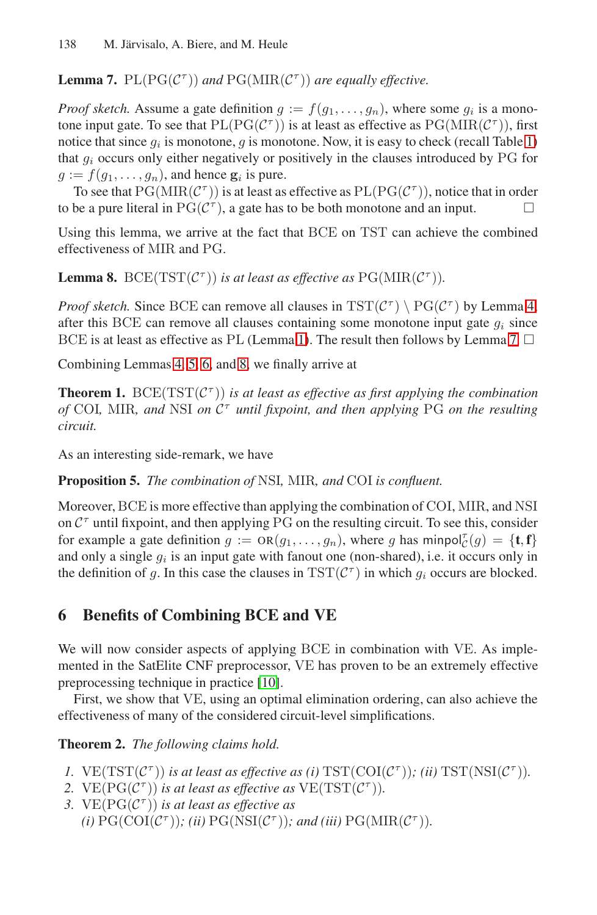**Lemma 7.** PL( $PG(\mathcal{C}^{\tau})$ ) and  $PG(MIR(\mathcal{C}^{\tau}))$  are equally effective.

*Proof sketch.* Assume a gate definition  $g := f(g_1, \ldots, g_n)$ , where some  $g_i$  is a monotone input gate. To see that  $PL(PG(\mathcal{C}^{\tau}))$  is at least as effective as  $PG(MIR(\mathcal{C}^{\tau}))$ , first notice that since  $g_i$  is monotone, g is monotone. Now, it is easy to check (recall Table [1\)](#page-3-1) that  $g_i$  occurs only either negatively or positively in the clauses introduced by PG for  $g := f(g_1, \ldots, g_n)$ , and hence  $\mathbf{g}_i$  is pure.

To see that  $PG(MIR(\mathcal{C}^{\tau}))$  is at least as effective as  $PL(PG(\mathcal{C}^{\tau}))$ , notice that in order to be a pure literal in  $PG(\mathcal{C}^{\tau})$ , a gate has to be both monotone and an input.

<span id="page-9-1"></span>Using this lemma, we arrive at the fact that BCE on TST can achieve the combined effectiveness of MIR and PG.

**Lemma 8.** BCE(TST( $C^{\tau}$ )) *is at least as effective as* PG( $MIR(C^{\tau})$ )*.* 

*Proof sketch.* Since BCE can remove all clauses in  $TST(\mathcal{C}^{\tau}) \setminus PG(\mathcal{C}^{\tau})$  by Lemma [4,](#page-7-1) after this BCE can remove all clauses containing some monotone input gate  $g_i$  since BCE is at least as effective as PL (Lemma [1\)](#page-7-2). The result then follows by Lemma [7.](#page-8-0)  $\Box$ 

Combining Lemmas [4,](#page-7-1) [5,](#page-8-1) [6,](#page-8-2) and [8,](#page-9-1) we finally arrive at

**Theorem 1.** BCE( $TST(\mathcal{C}^{\tau})$ ) *is at least as effective as first applying the combination of* COI*,* MIR*, and* NSI *on* C<sup>τ</sup> *until fixpoint, and then applying* PG *on the resulting circuit.*

As an interesting side-remark, we have

**Proposition 5.** *The combination of* NSI*,* MIR*, and* COI *is confluent.*

Moreover, BCE is more effective than applying the combination of COI, MIR, and NSI on  $C^{\tau}$  until fixpoint, and then applying PG on the resulting circuit. To see this, consider for example a gate definition  $g := \text{OR}(g_1, \ldots, g_n)$ , where g has minpol<sub> $\mathcal{C}(g) = \{\mathbf{t}, \mathbf{f}\}\$ <br>and only a single q, is an input gate with fanout one (non-shared) i.e. it occurs only in</sub> and only a single  $g_i$  is an input gate with fanout one (non-shared), i.e. it occurs only in the definition of g. In this case the clauses in  $TST(\mathcal{C}^{\tau})$  in which  $g_i$  occurs are blocked.

## <span id="page-9-0"></span>**6 Benefits of Combining BCE and VE**

We will now consider aspects of applying BCE in combination with VE. As implemented in the SatElite CNF preprocessor, VE has proven to be an extremely effective preprocessing technique in practice [\[10\]](#page-14-9).

First, we show that VE, using an optimal elimination ordering, can also achieve the effectiveness of many of the considered circuit-level simplifications.

**Theorem 2.** *The following claims hold.*

- *1.*  $VE(TST(\mathcal{C}^{\tau}))$  *is at least as effective as (i)*  $TST(COI(\mathcal{C}^{\tau}))$ *; (ii)*  $TST(NSI(\mathcal{C}^{\tau}))$ *.*
- 2.  $VE(PG(\mathcal{C}^{\tau}))$  *is at least as effective as*  $VE(TST(\mathcal{C}^{\tau}))$ *.*
- *3.*  $VE(PG(C^{\tau}))$  *is at least as effective as (i)*  $PG(COI(\mathcal{C}^{\tau}))$ *; (ii)*  $PG(NSI(\mathcal{C}^{\tau}))$ *; and (iii)*  $PG(MIR(\mathcal{C}^{\tau}))$ *.*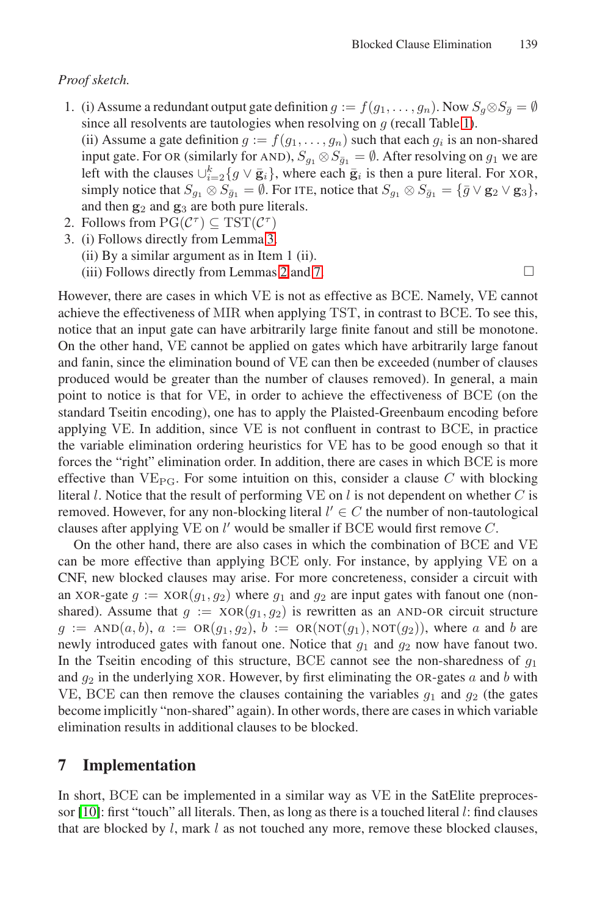#### *Proof sketch.*

- 1. (i) Assume a redundant output gate definition  $g := f(g_1, \ldots, g_n)$ . Now  $S_g \otimes S_{\overline{g}} = \emptyset$ since all resolvents are tautologies when resolving on  $g$  (recall Table [1\)](#page-3-1). (ii) Assume a gate definition  $g := f(g_1, \ldots, g_n)$  such that each  $g_i$  is an non-shared input gate. For OR (similarly for AND),  $S_{g_1} \otimes S_{\bar{g}_1} = \emptyset$ . After resolving on  $g_1$  we are
	- left with the clauses  $\bigcup_{i=2}^{k} \{g \vee \bar{g}_i\}$ , where each  $\bar{g}_i$  is then a pure literal. For XOR, simply notice that  $S \otimes S_{-} = \emptyset$  For ITE notice that  $S \otimes S_{-} = \{\bar{g} \vee g_0 \vee g_1\}$ simply notice that  $S_{g_1} \otimes S_{\bar{g}_1} = \emptyset$ . For ITE, notice that  $S_{g_1} \otimes S_{\bar{g}_1} = \{ \bar{g} \vee \mathbf{g}_2 \vee \mathbf{g}_3 \}$ , and then **<sup>g</sup>**<sup>2</sup> and **<sup>g</sup>**<sup>3</sup> are both pure literals.
- 2. Follows from  $PG(\mathcal{C}^{\tau}) \subseteq TST(\mathcal{C}^{\tau})$
- 3. (i) Follows directly from Lemma [3.](#page-7-0) (ii) By a similar argument as in Item 1 (ii). (iii) Follows directly from Lemmas [2](#page-7-3) and [7.](#page-8-0)  $\Box$

However, there are cases in which VE is not as effective as BCE. Namely, VE cannot achieve the effectiveness of MIR when applying TST, in contrast to BCE. To see this, notice that an input gate can have arbitrarily large finite fanout and still be monotone. On the other hand, VE cannot be applied on gates which have arbitrarily large fanout and fanin, since the elimination bound of VE can then be exceeded (number of clauses produced would be greater than the number of clauses removed). In general, a main point to notice is that for VE, in order to achieve the effectiveness of BCE (on the standard Tseitin encoding), one has to apply the Plaisted-Greenbaum encoding before applying VE. In addition, since VE is not confluent in contrast to BCE, in practice the variable elimination ordering heuristics for VE has to be good enough so that it forces the "right" elimination order. In addition, there are cases in which BCE is more effective than  $VE_{PG}$ . For some intuition on this, consider a clause C with blocking literal l. Notice that the result of performing VE on l is not dependent on whether C is removed. However, for any non-blocking literal  $l' \in C$  the number of non-tautological<br>clauses after applying VE on  $l'$  would be smaller if BCE would first remove C clauses after applying  $VE$  on  $l'$  would be smaller if BCE would first remove  $C$ .<br>On the other hand, there are also cases in which the combination of BCE a

On the other hand, there are also cases in which the combination of BCE and VE can be more effective than applying BCE only. For instance, by applying VE on a CNF, new blocked clauses may arise. For more concreteness, consider a circuit with an XOR-gate  $g := \text{XOR}(g_1, g_2)$  where  $g_1$  and  $g_2$  are input gates with fanout one (nonshared). Assume that  $g := XOR(q_1, q_2)$  is rewritten as an AND-OR circuit structure  $g := \text{AND}(a, b), a := \text{OR}(g_1, g_2), b := \text{OR}(\text{NOT}(g_1), \text{NOT}(g_2)),$  where a and b are newly introduced gates with fanout one. Notice that  $g_1$  and  $g_2$  now have fanout two. In the Tseitin encoding of this structure, BCE cannot see the non-sharedness of  $g_1$ and  $g_2$  in the underlying XOR. However, by first eliminating the OR-gates a and b with VE, BCE can then remove the clauses containing the variables  $q_1$  and  $q_2$  (the gates become implicitly "non-shared" again). In other words, there are cases in which variable elimination results in additional clauses to be blocked.

#### <span id="page-10-0"></span>**7 Implementation**

In short, BCE can be implemented in a similar way as VE in the SatElite preprocessor  $[10]$ : first "touch" all literals. Then, as long as there is a touched literal l: find clauses that are blocked by  $l$ , mark  $l$  as not touched any more, remove these blocked clauses,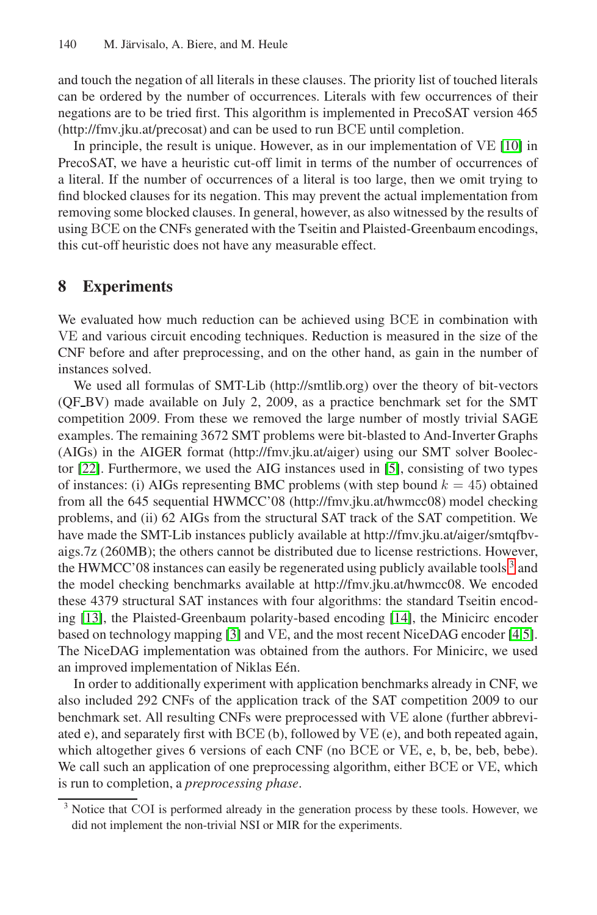and touch the negation of all literals in these clauses. The priority list of touched literals can be ordered by the number of occurrences. Literals with few occurrences of their negations are to be tried first. This algorithm is implemented in PrecoSAT version 465 (http://fmv.jku.at/precosat) and can be used to run BCE until completion.

In principle, the result is unique. However, as in our implementation of VE [\[10\]](#page-14-9) in PrecoSAT, we have a heuristic cut-off limit in terms of the number of occurrences of a literal. If the number of occurrences of a literal is too large, then we omit trying to find blocked clauses for its negation. This may prevent the actual implementation from removing some blocked clauses. In general, however, as also witnessed by the results of using BCE on the CNFs generated with the Tseitin and Plaisted-Greenbaum encodings, this cut-off heuristic does not have any measurable effect.

### <span id="page-11-0"></span>**8 Experiments**

We evaluated how much reduction can be achieved using BCE in combination with VE and various circuit encoding techniques. Reduction is measured in the size of the CNF before and after preprocessing, and on the other hand, as gain in the number of instances solved.

We used all formulas of SMT-Lib (http://smtlib.org) over the theory of bit-vectors (QF BV) made available on July 2, 2009, as a practice benchmark set for the SMT competition 2009. From these we removed the large number of mostly trivial SAGE examples. The remaining 3672 SMT problems were bit-blasted to And-Inverter Graphs (AIGs) in the AIGER format (http://fmv.jku.at/aiger) using our SMT solver Boolector [\[22\]](#page-15-3). Furthermore, we used the AIG instances used in [\[5\]](#page-14-4), consisting of two types of instances: (i) AIGs representing BMC problems (with step bound  $k = 45$ ) obtained from all the 645 sequential HWMCC'08 (http://fmv.jku.at/hwmcc08) model checking problems, and (ii) 62 AIGs from the structural SAT track of the SAT competition. We have made the SMT-Lib instances publicly available at http://fmv.jku.at/aiger/smtqfbvaigs.7z (260MB); the others cannot be distributed due to license restrictions. However, the HWMCC'08 instances can easily be regenerated using publicly available tools  $3$  and the model checking benchmarks available at http://fmv.jku.at/hwmcc08. We encoded these 4379 structural SAT instances with four algorithms: the standard Tseitin encoding [\[13\]](#page-14-12), the Plaisted-Greenbaum polarity-based encoding [\[14\]](#page-14-13), the Minicirc encoder based on technology mapping [\[3\]](#page-14-2) and VE, and the most recent NiceDAG encoder [\[4](#page-14-3)[,5\]](#page-14-4). The NiceDAG implementation was obtained from the authors. For Minicirc, we used an improved implementation of Niklas Eén.

In order to additionally experiment with application benchmarks already in CNF, we also included 292 CNFs of the application track of the SAT competition 2009 to our benchmark set. All resulting CNFs were preprocessed with VE alone (further abbreviated e), and separately first with BCE (b), followed by VE (e), and both repeated again, which altogether gives 6 versions of each CNF (no BCE or VE, e, b, be, beb, bebe). We call such an application of one preprocessing algorithm, either BCE or VE, which is run to completion, a *preprocessing phase*.

<span id="page-11-1"></span><sup>&</sup>lt;sup>3</sup> Notice that COI is performed already in the generation process by these tools. However, we did not implement the non-trivial NSI or MIR for the experiments.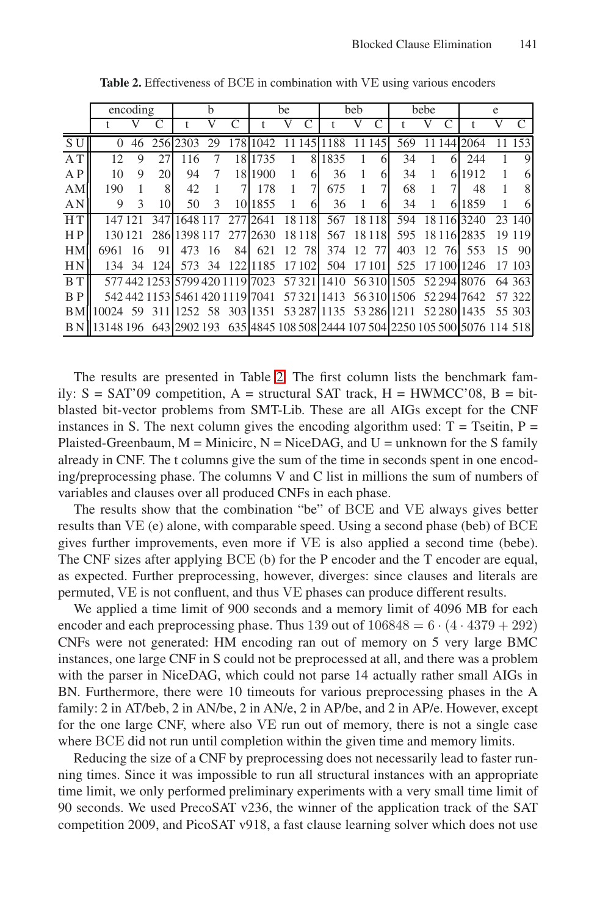|                | encoding  |    |     | b                               |    | be  |                                 | beb              |        |                                  | bebe |        |             | e  |       |                                                         |    |        |
|----------------|-----------|----|-----|---------------------------------|----|-----|---------------------------------|------------------|--------|----------------------------------|------|--------|-------------|----|-------|---------------------------------------------------------|----|--------|
|                |           |    |     |                                 |    |     |                                 |                  |        |                                  |      |        |             |    |       |                                                         |    |        |
| S U            | $\Omega$  | 46 |     | 256 2303                        | 29 |     | 178 1042                        |                  |        | 145 1188                         |      | 11 145 | 569         | 11 |       | 144 2064                                                |    | 153    |
| A T            | 12        | 9  | 27  | 116                             |    |     | 18 1735                         |                  | 81     | 1835                             |      |        | 34          |    | 6     | 244                                                     |    | 9      |
| AP             | 10        | 9  | 20  | 94                              | 7  |     | 18 1900                         |                  | 6      | 36                               |      | 6      | 34          |    | 6     | 1912                                                    |    | 6      |
| AM             | 190       |    | 8   | 42                              |    |     | 178                             |                  |        | 675                              |      |        | 68          |    | 7.    | 48                                                      |    | 8      |
| AN             | 9         | 3  | 10  | 50                              | 3  | 10  | 1855                            |                  | 6      | 36                               |      |        | 34          |    | 6     | 1859                                                    |    | 6      |
| <b>HT</b>      | 147 121   |    |     | 347 1648 117                    |    | 277 | 2641                            |                  | 18118  | 567                              |      | 18118  | 594         |    |       | 18 116 3240                                             |    | 23 140 |
| H <sub>P</sub> | 130 121   |    |     | 286 1398 117                    |    |     | 277 2630                        |                  | 18118  | 567                              |      | 18118  | 595         |    |       | 18 116 2835                                             | 19 | 119    |
| <b>HM</b>      | 6961      | 16 | 91  | 473                             | 16 | 84  | 621                             | 12 <sup>12</sup> | -78    | 374                              |      | 12 77  | 403         |    | 12 76 | 553                                                     | 15 | 90     |
| HN             | 134       | 34 | 124 | 573                             | 34 | 122 | 1185                            |                  | 17 102 | 504                              |      | 17 101 | 525         |    |       | 17 100 1246                                             | 17 | 103    |
| B T            |           |    |     |                                 |    |     | 577 442 1253 5799 420 1119 7023 |                  |        |                                  |      |        |             |    |       | 57 321 1410 56 310 1505 52 294 8076                     |    | 64 363 |
| B <sub>P</sub> |           |    |     | 542 442 1153 5461 420 1119 7041 |    |     |                                 |                  |        | 573211413                        |      |        | 56 310 1506 |    |       | 52 294 7642                                             |    | 57 322 |
| <b>BM</b>      | 10024     | 59 |     | 311 1252 58                     |    |     |                                 |                  |        | 303 1351 53 287 1135 53 286 1211 |      |        |             |    |       | 52 280 1435                                             |    | 55 303 |
| B N            | 13148 196 |    |     | 643 2902 193                    |    |     |                                 |                  |        |                                  |      |        |             |    |       | 635 4845 108 508 2444 107 504 2250 105 500 5076 114 518 |    |        |

<span id="page-12-0"></span>**Table 2.** Effectiveness of BCE in combination with VE using various encoders

The results are presented in Table [2.](#page-12-0) The first column lists the benchmark family:  $S = SAT'09$  competition,  $A = structural SAT$  track,  $H = HWMCC'08$ ,  $B = bit$ blasted bit-vector problems from SMT-Lib. These are all AIGs except for the CNF instances in S. The next column gives the encoding algorithm used:  $T =$  Tseitin,  $P =$ Plaisted-Greenbaum,  $M =$  Minicirc,  $N =$  NiceDAG, and  $U =$  unknown for the S family already in CNF. The t columns give the sum of the time in seconds spent in one encoding/preprocessing phase. The columns V and C list in millions the sum of numbers of variables and clauses over all produced CNFs in each phase.

The results show that the combination "be" of BCE and VE always gives better results than VE (e) alone, with comparable speed. Using a second phase (beb) of BCE gives further improvements, even more if VE is also applied a second time (bebe). The CNF sizes after applying BCE (b) for the P encoder and the T encoder are equal, as expected. Further preprocessing, however, diverges: since clauses and literals are permuted, VE is not confluent, and thus VE phases can produce different results.

We applied a time limit of 900 seconds and a memory limit of 4096 MB for each encoder and each preprocessing phase. Thus 139 out of  $106848 = 6 \cdot (4 \cdot 4379 + 292)$ CNFs were not generated: HM encoding ran out of memory on 5 very large BMC instances, one large CNF in S could not be preprocessed at all, and there was a problem with the parser in NiceDAG, which could not parse 14 actually rather small AIGs in BN. Furthermore, there were 10 timeouts for various preprocessing phases in the A family: 2 in AT/beb, 2 in AN/be, 2 in AN/e, 2 in AP/be, and 2 in AP/e. However, except for the one large CNF, where also VE run out of memory, there is not a single case where BCE did not run until completion within the given time and memory limits.

Reducing the size of a CNF by preprocessing does not necessarily lead to faster running times. Since it was impossible to run all structural instances with an appropriate time limit, we only performed preliminary experiments with a very small time limit of 90 seconds. We used PrecoSAT v236, the winner of the application track of the SAT competition 2009, and PicoSAT v918, a fast clause learning solver which does not use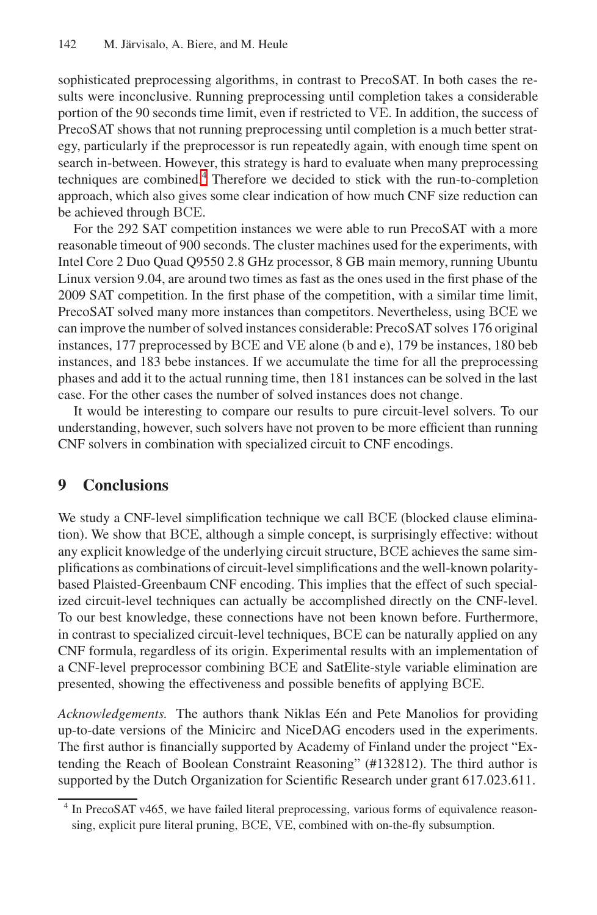sophisticated preprocessing algorithms, in contrast to PrecoSAT. In both cases the results were inconclusive. Running preprocessing until completion takes a considerable portion of the 90 seconds time limit, even if restricted to VE. In addition, the success of PrecoSAT shows that not running preprocessing until completion is a much better strategy, particularly if the preprocessor is run repeatedly again, with enough time spent on search in-between. However, this strategy is hard to evaluate when many preprocessing techniques are combined.[4](#page-13-0) Therefore we decided to stick with the run-to-completion approach, which also gives some clear indication of how much CNF size reduction can be achieved through BCE.

For the 292 SAT competition instances we were able to run PrecoSAT with a more reasonable timeout of 900 seconds. The cluster machines used for the experiments, with Intel Core 2 Duo Quad Q9550 2.8 GHz processor, 8 GB main memory, running Ubuntu Linux version 9.04, are around two times as fast as the ones used in the first phase of the 2009 SAT competition. In the first phase of the competition, with a similar time limit, PrecoSAT solved many more instances than competitors. Nevertheless, using BCE we can improve the number of solved instances considerable: PrecoSAT solves 176 original instances, 177 preprocessed by BCE and VE alone (b and e), 179 be instances, 180 beb instances, and 183 bebe instances. If we accumulate the time for all the preprocessing phases and add it to the actual running time, then 181 instances can be solved in the last case. For the other cases the number of solved instances does not change.

It would be interesting to compare our results to pure circuit-level solvers. To our understanding, however, such solvers have not proven to be more efficient than running CNF solvers in combination with specialized circuit to CNF encodings.

### **9 Conclusions**

We study a CNF-level simplification technique we call BCE (blocked clause elimination). We show that BCE, although a simple concept, is surprisingly effective: without any explicit knowledge of the underlying circuit structure, BCE achieves the same simplifications as combinations of circuit-level simplifications and the well-known polaritybased Plaisted-Greenbaum CNF encoding. This implies that the effect of such specialized circuit-level techniques can actually be accomplished directly on the CNF-level. To our best knowledge, these connections have not been known before. Furthermore, in contrast to specialized circuit-level techniques, BCE can be naturally applied on any CNF formula, regardless of its origin. Experimental results with an implementation of a CNF-level preprocessor combining BCE and SatElite-style variable elimination are presented, showing the effectiveness and possible benefits of applying BCE.

*Acknowledgements*. The authors thank Niklas Eén and Pete Manolios for providing up-to-date versions of the Minicirc and NiceDAG encoders used in the experiments. The first author is financially supported by Academy of Finland under the project "Extending the Reach of Boolean Constraint Reasoning" (#132812). The third author is supported by the Dutch Organization for Scientific Research under grant 617.023.611.

<span id="page-13-0"></span><sup>&</sup>lt;sup>4</sup> In PrecoSAT v465, we have failed literal preprocessing, various forms of equivalence reasonsing, explicit pure literal pruning, BCE, VE, combined with on-the-fly subsumption.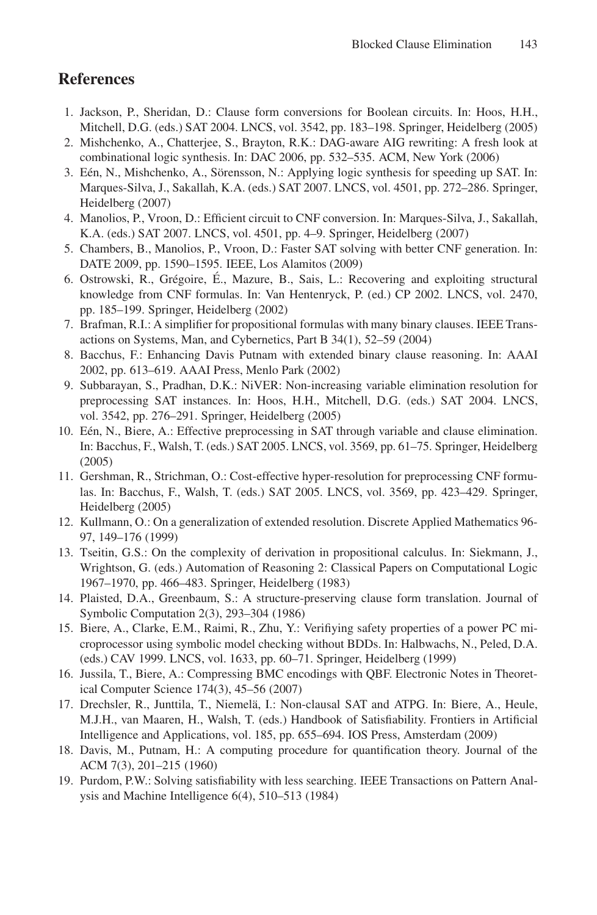# **References**

- <span id="page-14-0"></span>1. Jackson, P., Sheridan, D.: Clause form conversions for Boolean circuits. In: Hoos, H.H., Mitchell, D.G. (eds.) SAT 2004. LNCS, vol. 3542, pp. 183–198. Springer, Heidelberg (2005)
- <span id="page-14-1"></span>2. Mishchenko, A., Chatterjee, S., Brayton, R.K.: DAG-aware AIG rewriting: A fresh look at combinational logic synthesis. In: DAC 2006, pp. 532–535. ACM, New York (2006)
- <span id="page-14-2"></span>3. Eén, N., Mishchenko, A., Sörensson, N.: Applying logic synthesis for speeding up SAT. In: Marques-Silva, J., Sakallah, K.A. (eds.) SAT 2007. LNCS, vol. 4501, pp. 272–286. Springer, Heidelberg (2007)
- <span id="page-14-3"></span>4. Manolios, P., Vroon, D.: Efficient circuit to CNF conversion. In: Marques-Silva, J., Sakallah, K.A. (eds.) SAT 2007. LNCS, vol. 4501, pp. 4–9. Springer, Heidelberg (2007)
- <span id="page-14-4"></span>5. Chambers, B., Manolios, P., Vroon, D.: Faster SAT solving with better CNF generation. In: DATE 2009, pp. 1590–1595. IEEE, Los Alamitos (2009)
- <span id="page-14-5"></span>6. Ostrowski, R., Grégoire, É., Mazure, B., Sais, L.: Recovering and exploiting structural knowledge from CNF formulas. In: Van Hentenryck, P. (ed.) CP 2002. LNCS, vol. 2470, pp. 185–199. Springer, Heidelberg (2002)
- <span id="page-14-6"></span>7. Brafman, R.I.: A simplifier for propositional formulas with many binary clauses. IEEE Transactions on Systems, Man, and Cybernetics, Part B 34(1), 52–59 (2004)
- <span id="page-14-7"></span>8. Bacchus, F.: Enhancing Davis Putnam with extended binary clause reasoning. In: AAAI 2002, pp. 613–619. AAAI Press, Menlo Park (2002)
- <span id="page-14-8"></span>9. Subbarayan, S., Pradhan, D.K.: NiVER: Non-increasing variable elimination resolution for preprocessing SAT instances. In: Hoos, H.H., Mitchell, D.G. (eds.) SAT 2004. LNCS, vol. 3542, pp. 276–291. Springer, Heidelberg (2005)
- <span id="page-14-9"></span>10. Eén, N., Biere, A.: Effective preprocessing in SAT through variable and clause elimination. In: Bacchus, F., Walsh, T. (eds.) SAT 2005. LNCS, vol. 3569, pp. 61–75. Springer, Heidelberg (2005)
- <span id="page-14-10"></span>11. Gershman, R., Strichman, O.: Cost-effective hyper-resolution for preprocessing CNF formulas. In: Bacchus, F., Walsh, T. (eds.) SAT 2005. LNCS, vol. 3569, pp. 423–429. Springer, Heidelberg (2005)
- <span id="page-14-11"></span>12. Kullmann, O.: On a generalization of extended resolution. Discrete Applied Mathematics 96- 97, 149–176 (1999)
- <span id="page-14-12"></span>13. Tseitin, G.S.: On the complexity of derivation in propositional calculus. In: Siekmann, J., Wrightson, G. (eds.) Automation of Reasoning 2: Classical Papers on Computational Logic 1967–1970, pp. 466–483. Springer, Heidelberg (1983)
- <span id="page-14-13"></span>14. Plaisted, D.A., Greenbaum, S.: A structure-preserving clause form translation. Journal of Symbolic Computation 2(3), 293–304 (1986)
- <span id="page-14-14"></span>15. Biere, A., Clarke, E.M., Raimi, R., Zhu, Y.: Verifiying safety properties of a power PC microprocessor using symbolic model checking without BDDs. In: Halbwachs, N., Peled, D.A. (eds.) CAV 1999. LNCS, vol. 1633, pp. 60–71. Springer, Heidelberg (1999)
- <span id="page-14-15"></span>16. Jussila, T., Biere, A.: Compressing BMC encodings with QBF. Electronic Notes in Theoretical Computer Science 174(3), 45–56 (2007)
- <span id="page-14-16"></span>17. Drechsler, R., Junttila, T., Niemelä, I.: Non-clausal SAT and ATPG. In: Biere, A., Heule, M.J.H., van Maaren, H., Walsh, T. (eds.) Handbook of Satisfiability. Frontiers in Artificial Intelligence and Applications, vol. 185, pp. 655–694. IOS Press, Amsterdam (2009)
- <span id="page-14-17"></span>18. Davis, M., Putnam, H.: A computing procedure for quantification theory. Journal of the ACM 7(3), 201–215 (1960)
- <span id="page-14-18"></span>19. Purdom, P.W.: Solving satisfiability with less searching. IEEE Transactions on Pattern Analysis and Machine Intelligence 6(4), 510–513 (1984)